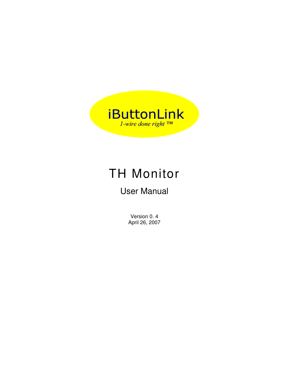# **iButtonLink**  $1$ -wire done right TM

# TH Monitor

## User Manual

Version 0. 4 April 26, 2007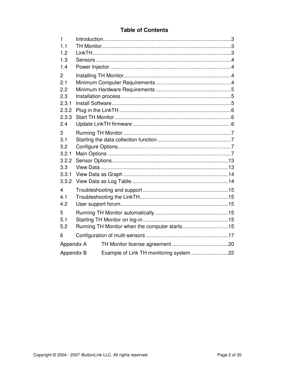#### **Table of Contents**

| 1              |  |                                         |  |  |  |
|----------------|--|-----------------------------------------|--|--|--|
| 1.1            |  |                                         |  |  |  |
| 1.2            |  |                                         |  |  |  |
| 1.3            |  |                                         |  |  |  |
| 1.4            |  |                                         |  |  |  |
| $\overline{2}$ |  |                                         |  |  |  |
| 2.1            |  |                                         |  |  |  |
| 2.2            |  |                                         |  |  |  |
| 2.3            |  |                                         |  |  |  |
| 2.3.1          |  |                                         |  |  |  |
| 2.3.2          |  |                                         |  |  |  |
| 2.3.3          |  |                                         |  |  |  |
| 2.4            |  |                                         |  |  |  |
| 3              |  |                                         |  |  |  |
| 3.1            |  |                                         |  |  |  |
| 3.2            |  |                                         |  |  |  |
| 3.2.1          |  |                                         |  |  |  |
| 3.2.2          |  |                                         |  |  |  |
| 3.3            |  |                                         |  |  |  |
| 3.3.1          |  |                                         |  |  |  |
| 3.3.2          |  |                                         |  |  |  |
| 4              |  |                                         |  |  |  |
| 4.1            |  |                                         |  |  |  |
| 4.2            |  |                                         |  |  |  |
| 5              |  |                                         |  |  |  |
| 5.1            |  |                                         |  |  |  |
| 5.2            |  |                                         |  |  |  |
| 6              |  |                                         |  |  |  |
| Appendix A     |  |                                         |  |  |  |
| Appendix B     |  | Example of Link TH monitoring system 22 |  |  |  |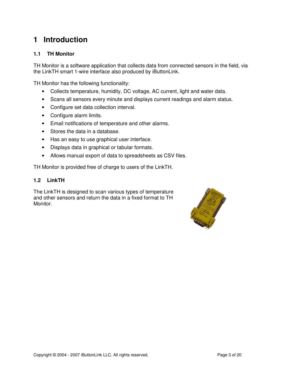## **1 Introduction**

#### **1.1 TH Monitor**

TH Monitor is a software application that collects data from connected sensors in the field, via the LinkTH smart 1-wire interface also produced by iButtonLink.

TH Monitor has the following functionality:

- Collects temperature, humidity, DC voltage, AC current, light and water data.
- Scans all sensors every minute and displays current readings and alarm status.
- Configure set data collection interval.
- Configure alarm limits.
- Email notifications of temperature and other alarms.
- Stores the data in a database.
- Has an easy to use graphical user interface.
- Displays data in graphical or tabular formats.
- Allows manual export of data to spreadsheets as CSV files.

TH Monitor is provided free of charge to users of the LinkTH.

#### **1.2 LinkTH**

The LinkTH is designed to scan various types of temperature and other sensors and return the data in a fixed format to TH Monitor.

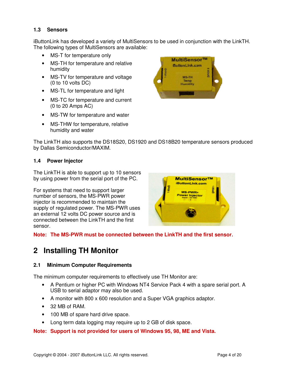#### **1.3 Sensors**

iButtonLink has developed a variety of MultiSensors to be used in conjunction with the LinkTH. The following types of MultiSensors are available:

- MS-T for temperature only
- MS-TH for temperature and relative humidity
- MS-TV for temperature and voltage (0 to 10 volts DC)
- MS-TL for temperature and light
- MS-TC for temperature and current (0 to 20 Amps AC)
- MS-TW for temperature and water
- MS-THW for temperature, relative humidity and water



The LinkTH also supports the DS18S20, DS1920 and DS18B20 temperature sensors produced by Dallas Semiconductor/MAXIM.

#### **1.4 Power Injector**

The LinkTH is able to support up to 10 sensors by using power from the serial port of the PC.

For systems that need to support larger number of sensors, the MS-PWR power injector is recommended to maintain the supply of regulated power. The MS-PWR uses an external 12 volts DC power source and is connected between the LinkTH and the first sensor.



**Note: The MS-PWR must be connected between the LinkTH and the first sensor.** 

### **2 Installing TH Monitor**

#### **2.1 Minimum Computer Requirements**

The minimum computer requirements to effectively use TH Monitor are:

- A Pentium or higher PC with Windows NT4 Service Pack 4 with a spare serial port. A USB to serial adaptor may also be used.
- A monitor with 800 x 600 resolution and a Super VGA graphics adaptor.
- 32 MB of RAM.
- 100 MB of spare hard drive space.
- Long term data logging may require up to 2 GB of disk space.

#### **Note: Support is not provided for users of Windows 95, 98, ME and Vista.**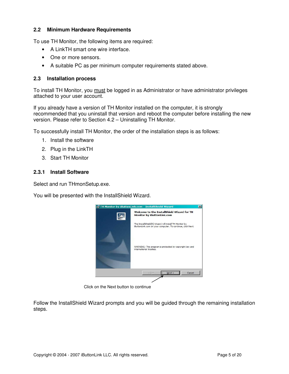#### **2.2 Minimum Hardware Requirements**

To use TH Monitor, the following items are required:

- A LinkTH smart one wire interface.
- One or more sensors.
- A suitable PC as per minimum computer requirements stated above.

#### **2.3 Installation process**

To install TH Monitor, you must be logged in as Administrator or have administrator privileges attached to your user account.

If you already have a version of TH Monitor installed on the computer, it is strongly recommended that you uninstall that version and reboot the computer before installing the new version. Please refer to Section 4.2 – Uninstalling TH Monitor.

To successfully install TH Monitor, the order of the installation steps is as follows:

- 1. Install the software
- 2. Plug in the LinkTH
- 3. Start TH Monitor

#### **2.3.1 Install Software**

Select and run THmonSetup.exe.

You will be presented with the InstallShield Wizard.



Click on the Next button to continue

Follow the InstallShield Wizard prompts and you will be guided through the remaining installation steps.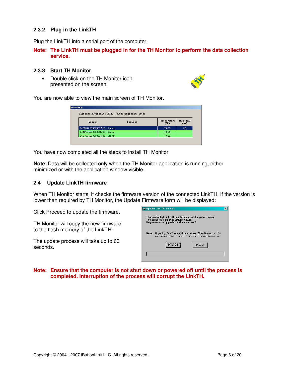#### **2.3.2 Plug in the LinkTH**

Plug the LinkTH into a serial port of the computer.

#### **Note: The LinkTH must be plugged in for the TH Monitor to perform the data collection service.**

#### **2.3.3 Start TH Monitor**

• Double click on the TH Monitor icon presented on the screen.



You are now able to view the main screen of TH Monitor.

| lonitoring<br>Last successful scan 18:38. Time to next scan: 00:46 |          |                     |                  |  |  |
|--------------------------------------------------------------------|----------|---------------------|------------------|--|--|
| Sensor                                                             | Location | Temperature<br>(°F) | Humidity<br>(96) |  |  |
| 262E597D00000097 19 Sensor                                         |          | 73.09               | 32               |  |  |
| 264E5D6E000000FB 00 Sensor                                         |          | 73.56               |                  |  |  |
| 26C9936E00000014 00 Sensor                                         |          | 73.21               |                  |  |  |

You have now completed all the steps to install TH Monitor

**Note**: Data will be collected only when the TH Monitor application is running, either minimized or with the application window visible.

#### **2.4 Update LinkTH firmware**

When TH Monitor starts, it checks the firmware version of the connected LinkTH. If the version is lower than required by TH Monitor, the Update Firmware form will be displayed:

Click Proceed to update the firmware.

TH Monitor will copy the new firmware to the flash memory of the LinkTH.

The update process will take up to 60 seconds.

|       | Update Link TH firmware                                                                                                                        |  |
|-------|------------------------------------------------------------------------------------------------------------------------------------------------|--|
|       | The connected Link TH has the incorrect firmware version.<br>The expected version is LinkTH V1.0h,<br>Do you want to upgrade the firmware now? |  |
| Note: | Upgrading of the firmware will take between 30 and 60 seconds. Do<br>not unplug the Link TH or turn off the computer during this process.      |  |
|       | Cancel                                                                                                                                         |  |
|       |                                                                                                                                                |  |

#### **Note: Ensure that the computer is not shut down or powered off until the process is completed. Interruption of the process will corrupt the LinkTH.**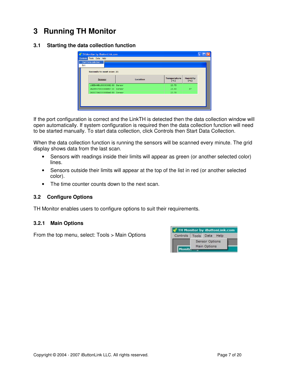## **3 Running TH Monitor**

#### **3.1 Starting the data collection function**

| Exit | <b>Start Data collection</b><br>Seconds to next scan: 21 |                 |                               |                          |
|------|----------------------------------------------------------|-----------------|-------------------------------|--------------------------|
|      | <b>Sensor</b>                                            | <b>Location</b> | Temperature<br>$(C^{\circ}C)$ | <b>Humidity</b><br>(9/6) |
|      | 10EBA9B100080082 00 Sensor                               |                 | 23.75                         |                          |
|      | 262E597D00000097 19 Sensor                               |                 | 23.43                         | 37                       |
|      | 26557D6E000000A0 00 Sensor                               |                 | 23.78                         |                          |

If the port configuration is correct and the LinkTH is detected then the data collection window will open automatically. If system configuration is required then the data collection function will need to be started manually. To start data collection, click Controls then Start Data Collection.

When the data collection function is running the sensors will be scanned every minute. The grid display shows data from the last scan.

- Sensors with readings inside their limits will appear as green (or another selected color) lines.
- Sensors outside their limits will appear at the top of the list in red (or another selected color).
- The time counter counts down to the next scan.

#### **3.2 Configure Options**

TH Monitor enables users to configure options to suit their requirements.

#### **3.2.1 Main Options**

From the top menu, select: Tools > Main Options

| Controls | Tools Data |                | Help |  |
|----------|------------|----------------|------|--|
|          |            | Sensor Options |      |  |
| Monite   |            | Main Options   |      |  |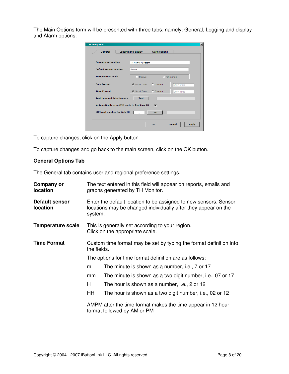The Main Options form will be presented with three tabs; namely: General, Logging and display and Alarm options:

| <b>General</b>                               | Logging and display | <b>Alarm options</b> |                     |
|----------------------------------------------|---------------------|----------------------|---------------------|
| <b>Company or location</b>                   | TH Monitor System   |                      |                     |
| <b>Default sensor location</b>               | Sensor              |                      |                     |
| <b>Temperature scale</b>                     | $C$ Celsius         |                      | <b>G</b> Fahrenheit |
| <b>Date Format</b>                           | <b>G</b> Short Date | $C$ Custom           | Short Date          |
| <b>Time Format</b>                           | <b>G</b> Short Time | $C$ Custom           | Short Time          |
| <b>Test time and date formats</b>            | <b>Test</b>         |                      |                     |
| Automatically scan COM ports to find Link TH |                     | ⊽                    |                     |
| <b>COM port number for Link TH</b>           | 1                   | <b>Test</b>          |                     |
|                                              |                     |                      |                     |

To capture changes, click on the Apply button.

To capture changes and go back to the main screen, click on the OK button.

#### **General Options Tab**

The General tab contains user and regional preference settings.

| Company or<br>location     | The text entered in this field will appear on reports, emails and<br>graphs generated by TH Monitor.                                          |                                                           |  |  |
|----------------------------|-----------------------------------------------------------------------------------------------------------------------------------------------|-----------------------------------------------------------|--|--|
| Default sensor<br>location | Enter the default location to be assigned to new sensors. Sensor<br>locations may be changed individually after they appear on the<br>system. |                                                           |  |  |
| <b>Temperature scale</b>   | This is generally set according to your region.<br>Click on the appropriate scale.                                                            |                                                           |  |  |
| <b>Time Format</b>         | Custom time format may be set by typing the format definition into<br>the fields.                                                             |                                                           |  |  |
|                            | The options for time format definition are as follows:                                                                                        |                                                           |  |  |
|                            | The minute is shown as a number, i.e., 7 or 17<br>m                                                                                           |                                                           |  |  |
|                            | mm                                                                                                                                            | The minute is shown as a two digit number, i.e., 07 or 17 |  |  |
|                            | H                                                                                                                                             | The hour is shown as a number, i.e., 2 or 12              |  |  |
|                            | HH                                                                                                                                            | The hour is shown as a two digit number, i.e., 02 or 12   |  |  |
|                            | AMPM after the time format makes the time appear in 12 hour<br>format followed by AM or PM                                                    |                                                           |  |  |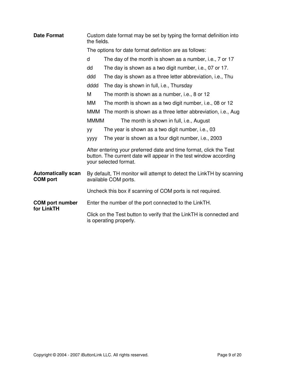| <b>Date Format</b>                           | the fields.                                                                                  | Custom date format may be set by typing the format definition into                                                                                               |  |  |  |
|----------------------------------------------|----------------------------------------------------------------------------------------------|------------------------------------------------------------------------------------------------------------------------------------------------------------------|--|--|--|
|                                              |                                                                                              | The options for date format definition are as follows:                                                                                                           |  |  |  |
|                                              | d                                                                                            | The day of the month is shown as a number, i.e., 7 or 17                                                                                                         |  |  |  |
|                                              | dd                                                                                           | The day is shown as a two digit number, i.e., 07 or 17.                                                                                                          |  |  |  |
|                                              | ddd                                                                                          | The day is shown as a three letter abbreviation, i.e., Thu                                                                                                       |  |  |  |
|                                              | dddd                                                                                         | The day is shown in full, i.e., Thursday                                                                                                                         |  |  |  |
|                                              | M                                                                                            | The month is shown as a number, i.e., 8 or 12                                                                                                                    |  |  |  |
|                                              | MМ                                                                                           | The month is shown as a two digit number, i.e., 08 or 12                                                                                                         |  |  |  |
|                                              | <b>MMM</b>                                                                                   | The month is shown as a three letter abbreviation, i.e., Aug                                                                                                     |  |  |  |
|                                              | <b>MMMM</b>                                                                                  | The month is shown in full, i.e., August                                                                                                                         |  |  |  |
|                                              | yу                                                                                           | The year is shown as a two digit number, i.e., 03                                                                                                                |  |  |  |
|                                              | уууу                                                                                         | The year is shown as a four digit number, i.e., 2003                                                                                                             |  |  |  |
|                                              |                                                                                              | After entering your preferred date and time format, click the Test<br>button. The current date will appear in the test window according<br>your selected format. |  |  |  |
| <b>Automatically scan</b><br><b>COM</b> port | By default, TH monitor will attempt to detect the LinkTH by scanning<br>available COM ports. |                                                                                                                                                                  |  |  |  |
|                                              | Uncheck this box if scanning of COM ports is not required.                                   |                                                                                                                                                                  |  |  |  |
| <b>COM</b> port number<br>for LinkTH         |                                                                                              | Enter the number of the port connected to the LinkTH.                                                                                                            |  |  |  |
|                                              |                                                                                              | Click on the Test button to verify that the LinkTH is connected and<br>is operating properly.                                                                    |  |  |  |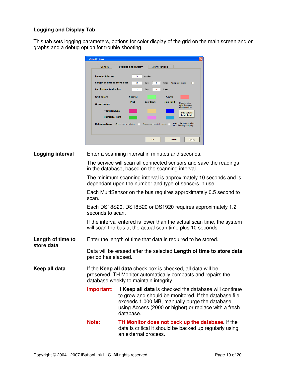#### **Logging and Display Tab**

This tab sets logging parameters, options for color display of the grid on the main screen and on graphs and a debug option for trouble shooting.

|                                 | <b>Main Options</b>                                                                                   |                                   |                        |                     |                                                 |                                                                                                                                                                                                                           |
|---------------------------------|-------------------------------------------------------------------------------------------------------|-----------------------------------|------------------------|---------------------|-------------------------------------------------|---------------------------------------------------------------------------------------------------------------------------------------------------------------------------------------------------------------------------|
|                                 | General                                                                                               | <b>Logging and display</b>        | Alarm options          |                     |                                                 |                                                                                                                                                                                                                           |
|                                 | Logging interval                                                                                      | з                                 | minutes                |                     |                                                 |                                                                                                                                                                                                                           |
|                                 | Length of time to store data                                                                          | $\overline{2}$                    | days<br>$\circ$        | hours Keep all data | г                                               |                                                                                                                                                                                                                           |
|                                 | Log history to display                                                                                | $\overline{2}$                    | $\circ$<br>days        | hours               |                                                 |                                                                                                                                                                                                                           |
|                                 | <b>Grid colors</b>                                                                                    | <b>Normal</b>                     |                        | <b>Alarm</b>        |                                                 |                                                                                                                                                                                                                           |
|                                 | <b>Graph colors</b>                                                                                   | Plot                              | <b>Low limit</b>       | <b>High limit</b>   | Double-click<br>color boxes to<br>change colors |                                                                                                                                                                                                                           |
|                                 | <b>Temperature</b>                                                                                    |                                   |                        |                     | <b>Set colors</b><br>to default                 |                                                                                                                                                                                                                           |
|                                 | <b>Humidity, light</b>                                                                                |                                   |                        |                     | Debug data is saved as                          |                                                                                                                                                                                                                           |
|                                 |                                                                                                       | Debug options Store error details | Store successful reads |                     | files named [date].log                          |                                                                                                                                                                                                                           |
|                                 |                                                                                                       |                                   |                        |                     |                                                 |                                                                                                                                                                                                                           |
|                                 |                                                                                                       |                                   | OK                     | Cancel              | Apply                                           |                                                                                                                                                                                                                           |
| Logging interval                | Enter a scanning interval in minutes and seconds.                                                     |                                   |                        |                     |                                                 |                                                                                                                                                                                                                           |
|                                 | in the database, based on the scanning interval.                                                      |                                   |                        |                     |                                                 | The service will scan all connected sensors and save the readings                                                                                                                                                         |
|                                 | dependant upon the number and type of sensors in use.                                                 |                                   |                        |                     |                                                 | The minimum scanning interval is approximately 10 seconds and is                                                                                                                                                          |
|                                 | Each MultiSensor on the bus requires approximately 0.5 second to<br>scan.                             |                                   |                        |                     |                                                 |                                                                                                                                                                                                                           |
|                                 | Each DS18S20, DS18B20 or DS1920 requires approximately 1.2<br>seconds to scan.                        |                                   |                        |                     |                                                 |                                                                                                                                                                                                                           |
|                                 | will scan the bus at the actual scan time plus 10 seconds.                                            |                                   |                        |                     |                                                 | If the interval entered is lower than the actual scan time, the system                                                                                                                                                    |
| Length of time to<br>store data | Enter the length of time that data is required to be stored.                                          |                                   |                        |                     |                                                 |                                                                                                                                                                                                                           |
|                                 | Data will be erased after the selected Length of time to store data<br>period has elapsed.            |                                   |                        |                     |                                                 |                                                                                                                                                                                                                           |
| Keep all data                   | If the Keep all data check box is checked, all data will be<br>database weekly to maintain integrity. |                                   |                        |                     |                                                 | preserved. TH Monitor automatically compacts and repairs the                                                                                                                                                              |
|                                 | Important:                                                                                            | database.                         |                        |                     |                                                 | If Keep all data is checked the database will continue<br>to grow and should be monitored. If the database file<br>exceeds 1,000 MB, manually purge the database<br>using Access (2000 or higher) or replace with a fresh |
|                                 | Note:                                                                                                 | an external process.              |                        |                     |                                                 | TH Monitor does not back up the database. If the<br>data is critical it should be backed up regularly using                                                                                                               |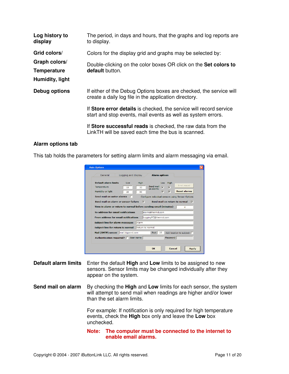| Log history to<br>display                                              | The period, in days and hours, that the graphs and log reports are<br>to display.                                                                                                                                                                                                                                                                                                      |
|------------------------------------------------------------------------|----------------------------------------------------------------------------------------------------------------------------------------------------------------------------------------------------------------------------------------------------------------------------------------------------------------------------------------------------------------------------------------|
| Grid colors/<br>Graph colors/<br><b>Temperature</b><br>Humidity, light | Colors for the display grid and graphs may be selected by:<br>Double-clicking on the color boxes OR click on the Set colors to<br>default button.                                                                                                                                                                                                                                      |
| Debug options                                                          | If either of the Debug Options boxes are checked, the service will<br>create a daily log file in the application directory.<br>If Store error details is checked, the service will record service<br>start and stop events, mail events as well as system errors.<br>If Store successful reads is checked, the raw data from the<br>LinkTH will be saved each time the bus is scanned. |

#### **Alarm options tab**

This tab holds the parameters for setting alarm limits and alarm messaging via email.

| <b>Main Options</b>                                                                                                                   |                                                                                                                                                         |
|---------------------------------------------------------------------------------------------------------------------------------------|---------------------------------------------------------------------------------------------------------------------------------------------------------|
| Logging and display<br>General                                                                                                        | <b>Alarm options</b>                                                                                                                                    |
| <b>Default alarm limits</b><br><b>High</b><br>Low<br>Temperature<br>30<br>15<br>Humidity or light<br>20<br>80                         | High<br>Low<br>Test email<br>Send mail<br>$\overline{\mathbf{v}}$<br>$\overline{v}$<br>on alarm:<br><b>Reset alarms</b><br>$\overline{\mathbf{v}}$<br>⊽ |
| Send mail on water alarms<br>Send mail on alarm or sensor failure<br>Time in alarm or return to normal before sending email (minutes) | Configure individual sensors using Sensor Options<br>$\overline{V}$<br>Send mail on return to normal<br>⊽<br>4                                          |
| To address for email notifications<br><b>From address for email notifications</b><br><b>Subject line for alarm messages</b><br>Alarm  | alarm@thermid.com<br>LoggingPC@thermid.com                                                                                                              |
| Subject line for return to normal<br>Mail (SMTP) server mail.bigpond.com<br>Authentication required? $\Box$ User name                 | Return to normal<br>25<br>Port  <br>Add location to subject [7]<br>Password                                                                             |
|                                                                                                                                       | Cancel<br>OK<br><b>Apply</b>                                                                                                                            |

- **Default alarm limits** Enter the default **High** and **Low** limits to be assigned to new sensors. Sensor limits may be changed individually after they appear on the system.
- **Send mail on alarm** By checking the **High** and **Low** limits for each sensor, the system will attempt to send mail when readings are higher and/or lower than the set alarm limits.

For example: If notification is only required for high temperature events, check the **High** box only and leave the **Low** box unchecked.

**Note: The computer must be connected to the internet to enable email alarms.**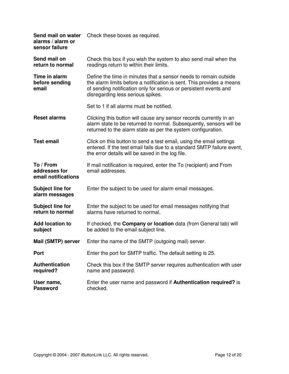| Send mail on water<br>alarms / alarm or<br>sensor failure | Check these boxes as required.                                                                                                                                                                                                                      |
|-----------------------------------------------------------|-----------------------------------------------------------------------------------------------------------------------------------------------------------------------------------------------------------------------------------------------------|
| Send mail on<br>return to normal                          | Check this box if you wish the system to also send mail when the<br>readings return to within their limits.                                                                                                                                         |
| Time in alarm<br>before sending<br>email                  | Define the time in minutes that a sensor needs to remain outside<br>the alarm limits before a notification is sent. This provides a means<br>of sending notification only for serious or persistent events and<br>disregarding less serious spikes. |
|                                                           | Set to 1 if all alarms must be notified.                                                                                                                                                                                                            |
| <b>Reset alarms</b>                                       | Clicking this button will cause any sensor records currently in an<br>alarm state to be returned to normal. Subsequently, sensors will be<br>returned to the alarm state as per the system configuration.                                           |
| <b>Test email</b>                                         | Click on this button to send a test email, using the email settings<br>entered. If the test email fails due to a standard SMTP failure event,<br>the error details will be saved in the log file.                                                   |
| To / From<br>addresses for<br>email notifications         | If mail notification is required, enter the To (recipient) and From<br>email addresses.                                                                                                                                                             |
| <b>Subject line for</b><br>alarm messages                 | Enter the subject to be used for alarm email messages.                                                                                                                                                                                              |
| <b>Subject line for</b><br>return to normal               | Enter the subject to be used for email messages notifying that<br>alarms have returned to normal.                                                                                                                                                   |
| <b>Add location to</b><br>subject                         | If checked, the <b>Company or location</b> data (from General tab) will<br>be added to the email subject line.                                                                                                                                      |
| Mail (SMTP) server                                        | Enter the name of the SMTP (outgoing mail) server.                                                                                                                                                                                                  |
| <b>Port</b>                                               | Enter the port for SMTP traffic. The default setting is 25.                                                                                                                                                                                         |
| <b>Authentication</b><br>required?                        | Check this box if the SMTP server requires authentication with user<br>name and password.                                                                                                                                                           |
| User name,<br><b>Password</b>                             | Enter the user name and password if <b>Authentication required?</b> is<br>checked.                                                                                                                                                                  |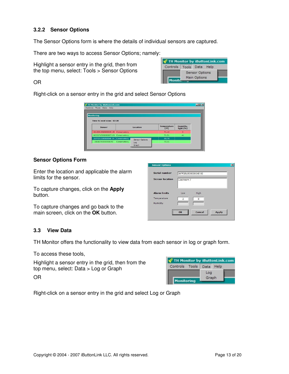#### **3.2.2 Sensor Options**

The Sensor Options form is where the details of individual sensors are captured.

There are two ways to access Sensor Options; namely:

Highlight a sensor entry in the grid, then from the top menu, select: Tools > Sensor Options

| Controls | Tools Data |                | Help |  |
|----------|------------|----------------|------|--|
|          |            | Sensor Options |      |  |
| Monite   |            | Main Options   |      |  |

#### OR

Right-click on a sensor entry in the grid and select Sensor Options

| Controls Tools Data Help         |              |                       |                                     |                          |
|----------------------------------|--------------|-----------------------|-------------------------------------|--------------------------|
| Monitoring                       |              |                       |                                     |                          |
| Time to next scan: 02:28         |              |                       |                                     |                          |
| Sensor                           |              | Location              | <b>Temperature</b><br>$(^{\circ}F)$ | Humidity,<br>light $(%)$ |
| 2618291500000029 1B Conservatory |              |                       | 71.12                               | $\overline{2}$           |
| 26332715000000C5 19 Conservatory |              |                       | 71.31                               | 41                       |
| 267F25150000004E 00              | Conservatory | <b>Sensor Options</b> | 69.78                               |                          |
|                                  | Conservatory | Log                   | 72.31                               |                          |
| 2824C9500000007D                 |              |                       |                                     |                          |

#### **Sensor Options Form**

Enter the location and applicable the alarm limits for the sensor.

To capture changes, click on the **Apply** button.

To capture changes and go back to the main screen, click on the **OK** button.

| Serial number          |                                  | 267F25150000004E 00 |              |
|------------------------|----------------------------------|---------------------|--------------|
| <b>Sensor location</b> | Coolroom 7                       |                     |              |
| <b>Alarm limits</b>    | Low                              | High                |              |
| Temperature            | $\overline{2}$                   | 8                   |              |
| Humidity               |                                  |                     |              |
|                        | -------------------------------- | Cancel              | <b>Apply</b> |

#### **3.3 View Data**

TH Monitor offers the functionality to view data from each sensor in log or graph form.

To access these tools,

Highlight a sensor entry in the grid, then from the top menu, select: Data > Log or Graph

| $\delta$ TH Monitor by iButtonLink.com |              |      |
|----------------------------------------|--------------|------|
| Controls Tools                         | <b>Data</b>  | Help |
| Monitoring                             | Log<br>Graph |      |

OR

Right-click on a sensor entry in the grid and select Log or Graph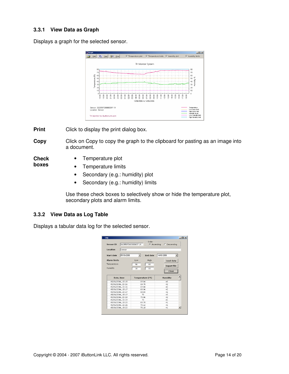#### **3.3.1 View Data as Graph**

Displays a graph for the selected sensor.



**Print** Click to display the print dialog box.

**Copy** Click on Copy to copy the graph to the clipboard for pasting as an image into a document.

**Check boxes** 

- Temperature plot
- Temperature limits
- Secondary (e.g.: humidity) plot
- Secondary (e.g.: humidity) limits

Use these check boxes to selectively show or hide the temperature plot, secondary plots and alarm limits.

#### **3.3.2 View Data as Log Table**

Displays a tabular data log for the selected sensor.

| Sensor ID                              | Order<br>262E597D00000097 19 | C Descending<br>G Ascending |
|----------------------------------------|------------------------------|-----------------------------|
| Location<br>Sensor                     |                              |                             |
| 05/06/2006<br>Start date               | <b>End date</b>              | 14/06/2006                  |
| <b>Alarm limits</b>                    | High<br>Low                  | Load data                   |
| Temperature                            | 50<br>80                     | <b>Export file</b>          |
| Humidity                               | 10<br>80                     |                             |
|                                        |                              | Close                       |
| Date, time                             | Temperature (°F)             | Humidity                    |
| 05/06/2006, 15:15                      | 69.84                        | 42                          |
| 05/06/2006.15:16                       | 69.78                        | 42                          |
| 05/06/2006.15:16                       | 69.84                        | 42                          |
| 05/06/2006, 15:17                      | 69.96                        | 42                          |
|                                        | 69.84                        | 42                          |
| 05/06/2006, 15:17                      |                              |                             |
| 05/06/2006, 15:17                      | 70                           | 42                          |
| 05/06/2006, 15:18                      | 70.06                        | 42                          |
| 05/06/2006.15:19                       | 70                           | 41                          |
| 05/06/2006, 15:20                      | 69.78                        | 41                          |
| 05/06/2006, 15:21<br>05/06/2006, 15:22 | 70.12                        | 41                          |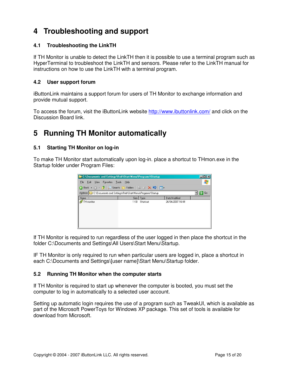## **4 Troubleshooting and support**

#### **4.1 Troubleshooting the LinkTH**

If TH Monitor is unable to detect the LinkTH then it is possible to use a terminal program such as HyperTerminal to troubleshoot the LinkTH and sensors. Please refer to the LinkTH manual for instructions on how to use the LinkTH with a terminal program.

#### **4.2 User support forum**

iButtonLink maintains a support forum for users of TH Monitor to exchange information and provide mutual support.

To access the forum, visit the iButtonLink website http://www.ibuttonlink.com/ and click on the Discussion Board link.

## **5 Running TH Monitor automatically**

#### **5.1 Starting TH Monitor on log-in**

To make TH Monitor start automatically upon log-in. place a shortcut to THmon.exe in the Startup folder under Program Files:

| <b>E:</b> C:\Documents and Settings\Rob\Start Menu\Programs\Startup |      |           |                  | $\blacksquare$ $\blacksquare$ $\times$ |
|---------------------------------------------------------------------|------|-----------|------------------|----------------------------------------|
| View<br>Favorites Tools<br>File<br>Edit                             | Help |           |                  |                                        |
| <b>O</b> Back • ● • 立   ● Search ● Folders   彦 ③ × り   冊•           |      |           |                  |                                        |
| Address C C:\Documents and Settings\Rob\Start Menu\Programs\Startup |      |           |                  | →<br>Go                                |
| $Name -$                                                            |      | Size Type | Date Modified    |                                        |
| TH monitor                                                          | 1 KB | Shortcut  | 26/04/2007 16:49 |                                        |
|                                                                     |      |           |                  |                                        |
|                                                                     |      |           |                  |                                        |
|                                                                     |      |           |                  |                                        |
|                                                                     |      |           |                  |                                        |
|                                                                     |      |           |                  |                                        |
|                                                                     |      |           |                  |                                        |

If TH Monitor is required to run regardless of the user logged in then place the shortcut in the folder C:\Documents and Settings\All Users\Start Menu\Startup.

IF TH Monitor is only required to run when particular users are logged in, place a shortcut in each C:\Documents and Settings\[user name]\Start Menu\Startup folder.

#### **5.2 Running TH Monitor when the computer starts**

If TH Monitor is required to start up whenever the computer is booted, you must set the computer to log in automatically to a selected user account.

Setting up automatic login requires the use of a program such as TweakUI, which is available as part of the Microsoft PowerToys for Windows XP package. This set of tools is available for download from Microsoft.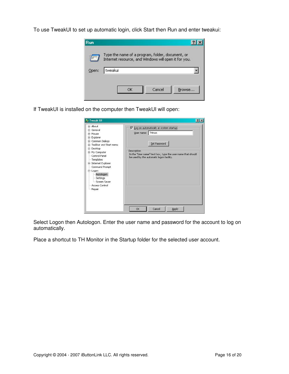To use TweakUI to set up automatic login, click Start then Run and enter tweakui:



If TweakUI is installed on the computer then TweakUI will open:

| <b>A</b> Tweak UI                                                                                                                                                                                                                                                                                         | ?                                                                                                                                                                                                             |
|-----------------------------------------------------------------------------------------------------------------------------------------------------------------------------------------------------------------------------------------------------------------------------------------------------------|---------------------------------------------------------------------------------------------------------------------------------------------------------------------------------------------------------------|
| <b>T</b> About<br>+ General<br>+- Mouse<br>E-Explorer<br>E Common Dialogs<br>F Taskbar and Start menu<br>E-Desktop<br>E-My Computer<br>- Control Panel<br><b>Templates</b><br>E Internet Explorer<br>- Command Prompt<br>⊟-Logon<br>Autologon<br>Settings<br>Screen Saver<br>- Access Control<br>- Repair | Ⅳ Log on automatically at system star<br>tup:<br>User name:   THmon<br>Set Password<br>Description<br>In the "User name" text box, type the user name that should<br>be used by the automatic logon facility. |
|                                                                                                                                                                                                                                                                                                           | OK<br>Cancel<br>Apply                                                                                                                                                                                         |

Select Logon then Autologon. Enter the user name and password for the account to log on automatically.

Place a shortcut to TH Monitor in the Startup folder for the selected user account.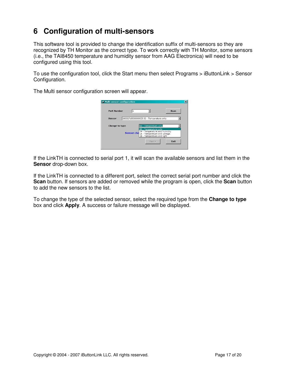## **6 Configuration of multi-sensors**

This software tool is provided to change the identification suffix of multi-sensors so they are recognized by TH Monitor as the correct type. To work correctly with TH Monitor, some sensors (i.e., the TAI8450 temperature and humidity sensor from AAG Electronica) will need to be configured using this tool.

To use the configuration tool, click the Start menu then select Programs > iButtonLink > Sensor Configuration.

The Multi sensor configuration screen will appear.



If the LinkTH is connected to serial port 1, it will scan the available sensors and list them in the **Sensor** drop-down box.

If the LinkTH is connected to a different port, select the correct serial port number and click the **Scan** button. If sensors are added or removed while the program is open, click the **Scan** button to add the new sensors to the list.

To change the type of the selected sensor, select the required type from the **Change to type** box and click **Apply**. A success or failure message will be displayed.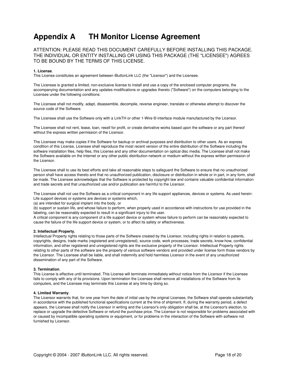## **Appendix A TH Monitor License Agreement**

ATTENTION: PLEASE READ THIS DOCUMENT CAREFULLY BEFORE INSTALLING THIS PACKAGE. THE INDIVIDUAL OR ENTITY INSTALLING OR USING THIS PACKAGE (THE "LICENSEE") AGREES TO BE BOUND BY THE TERMS OF THIS LICENSE.

#### **1. License**.

This License constitutes an agreement between iButtonLink LLC (the "Licensor") and the Licensee.

The Licensee is granted a limited, non-exclusive license to install and use a copy of the enclosed computer programs, the accompanying documentation and any updates modifications or upgrades thereto ("Software") on the computers belonging to the Licensee under the following conditions:

The Licensee shall not modify, adapt, disassemble, decompile, reverse engineer, translate or otherwise attempt to discover the source code of the Software.

The Licensee shall use the Software only with a LinkTH or other 1-Wire © interface module manufactured by the Licensor.

The Licensee shall not rent, lease, loan, resell for profit, or create derivative works based upon the software or any part thereof without the express written permission of the Licensor.

The Licensee may make copies if the Software for backup or archival purposes and distribution to other users. As an express condition of this License, Licensee shall reproduce the most recent version of the entire distribution of the Software including the software installation files, help files, this License and any other documentation on optical disc media. The Licensee shall not make the Software available on the Internet or any other public distribution network or medium without the express written permission of the Licensor.

The Licensee shall to use its best efforts and take all reasonable steps to safeguard the Software to ensure that no unauthorized person shall have access thereto and that no unauthorized publication, disclosure or distribution in whole or in part, in any form, shall be made. The Licensee acknowledges that the Software is protected by copyright law and contains valuable confidential information and trade secrets and that unauthorized use and/or publication are harmful to the Licensor.

The Licensee shall not use the Software as a critical component in any life support appliances, devices or systems. As used herein: Life support devices or systems are devices or systems which,

(a) are intended for surgical implant into the body, or

(b) support or sustain life, and whose failure to perform, when properly used in accordance with instructions for use provided in the labeling, can be reasonably expected to result in a significant injury to the user.

A critical component is any component of a life support device or system whose failure to perform can be reasonably expected to cause the failure of the life support device or system, or to affect its safety or effectiveness.

#### **2. Intellectual Property.**

Intellectual Property rights relating to those parts of the Software created by the Licensor, including rights in relation to patents, copyrights, designs, trade marks (registered and unregistered), source code, work processes, trade secrets, know-how, confidential information, and other registered and unregistered rights are the exclusive property of the Licensor. Intellectual Property rights relating to other parts of the software are the property of various software vendors and provided under license form those vendors by the Licensor. The Licensee shall be liable, and shall indemnify and hold harmless Licensor in the event of any unauthorized dissemination of any part of the Software.

#### **3. Termination**.

This License is effective until terminated. This License will terminate immediately without notice from the Licensor if the Licensee fails to comply with any of its provisions. Upon termination the Licensee shall remove all installations of the Software from its computers, and the Licensee may terminate this License at any time by doing so.

#### **4. Limited Warranty**.

The Licensor warrants that, for one year from the date of initial use by the original Licensee, the Software shall operate substantially in accordance with the published functional specifications current at the time of shipment. If, during the warranty period, a defect appears, the Licensee shall notify the Licensor in writing and the Licensor's only obligation shall be, at the Licensor's election, to replace or upgrade the defective Software or refund the purchase price. The Licensor is not responsible for problems associated with or caused by incompatible operating systems or equipment, or for problems in the interaction of the Software with software not furnished by Licensor.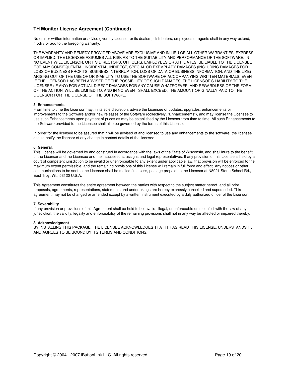#### **TH Monitor License Agreement (Continued)**

No oral or written information or advice given by Licensor or its dealers, distributors, employees or agents shall in any way extend, modify or add to the foregoing warranty.

THE WARRANTY AND REMEDY PROVIDED ABOVE ARE EXCLUSIVE AND IN LIEU OF ALL OTHER WARRANTIES, EXPRESS OR IMPLIED. THE LICENSEE ASSUMES ALL RISK AS TO THE SUITABILITY AND PERFORMANCE OF THE SOFTWARE. IN NO EVENT WILL LICENSOR, OR ITS DIRECTORS, OFFICERS, EMPLOYEES OR AFFILIATES, BE LIABLE TO THE LICENSEE FOR ANY CONSEQUENTIAL INCIDENTAL, INDIRECT, SPECIAL OR EXEMPLARY DAMAGES (INCLUDING DAMAGES FOR LOSS OF BUSINESS PROFITS, BUSINESS INTERRUPTION, LOSS OF DATA OR BUSINESS INFORMATION, AND THE LIKE) ARISING OUT OF THE USE OF OR INABILITY TO USE THE SOFTWARE OR ACCOMPANYING WRITTEN MATERIALS, EVEN IF THE LICENSOR HAS BEEN ADVISED OF THE POSSIBILITY OF SUCH DAMAGES. THE LICENSOR'S LIABILITY TO THE LICENSEE (IF ANY) FOR ACTUAL DIRECT DAMAGES FOR ANY CAUSE WHATSOEVER, AND REGARDLESS OF THE FORM OF THE ACTION, WILL BE LIMITED TO, AND IN NO EVENT SHALL EXCEED, THE AMOUNT ORIGINALLY PAID TO THE LICENSOR FOR THE LICENSE OF THE SOFTWARE.

#### **5. Enhancements**.

From time to time the Licensor may, in its sole discretion, advise the Licensee of updates, upgrades, enhancements or improvements to the Software and/or new releases of the Software (collectively, "Enhancements"), and may license the Licensee to use such Enhancements upon payment of prices as may be established by the Licensor from time to time. All such Enhancements to the Software provided to the Licensee shall also be governed by the terms of this License.

In order for the licensee to be assured that it will be advised of and licensed to use any enhancements to the software, the licensee should notify the licensor of any change in contact details of the licensee.

#### **6. General**.

This License will be governed by and construed in accordance with the laws of the State of Wisconsin, and shall inure to the benefit of the Licensor and the Licensee and their successors, assigns and legal representatives. If any provision of this License is held by a court of competent jurisdiction to be invalid or unenforceable to any extent under applicable law, that provision will be enforced to the maximum extent permissible, and the remaining provisions of this License will remain in full force and effect. Any notices or other communications to be sent to the Licensor shall be mailed first class, postage prepaid, to the Licensor at N8921 Stone School Rd., East Troy, WI., 53120 U.S.A.

This Agreement constitutes the entire agreement between the parties with respect to the subject matter hereof, and all prior proposals, agreements, representations, statements and undertakings are hereby expressly cancelled and superseded. This agreement may not be changed or amended except by a written instrument executed by a duly authorized officer of the Licensor.

#### **7. Severability**

If any provision or provisions of this Agreement shall be held to be invalid, illegal, unenforceable or in conflict with the law of any jurisdiction, the validity, legality and enforceability of the remaining provisions shall not in any way be affected or impaired thereby.

#### **8. Acknowledgment**.

BY INSTALLING THIS PACKAGE, THE LICENSEE ACKNOWLEDGES THAT IT HAS READ THIS LICENSE, UNDERSTANDS IT, AND AGREES TO BE BOUND BY ITS TERMS AND CONDITIONS.